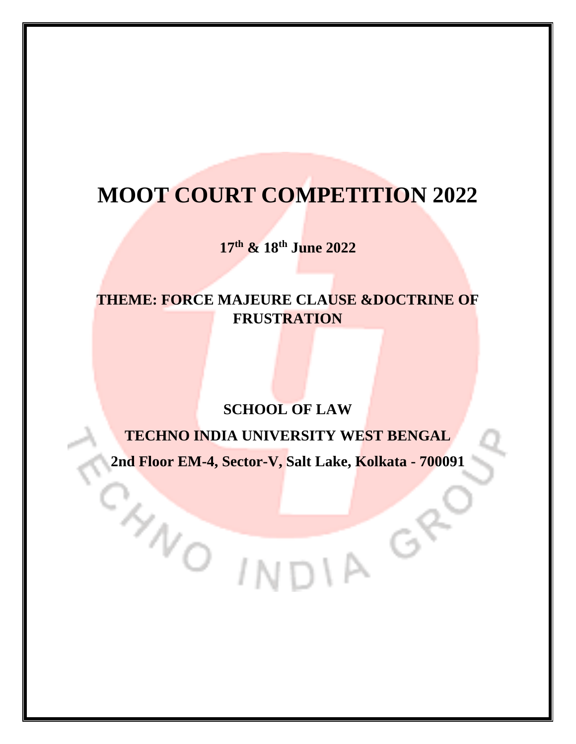# **MOOT COURT COMPETITION 2022**

**17th & 18th June 2022**

# **THEME: FORCE MAJEURE CLAUSE &DOCTRINE OF FRUSTRATION**

# **SCHOOL OF LAW**

# **TECHNO INDIA UNIVERSITY WEST BENGAL**

**2nd Floor EM-4, Sector-V, Salt Lake, Kolkata - 700091**

WO INDIA O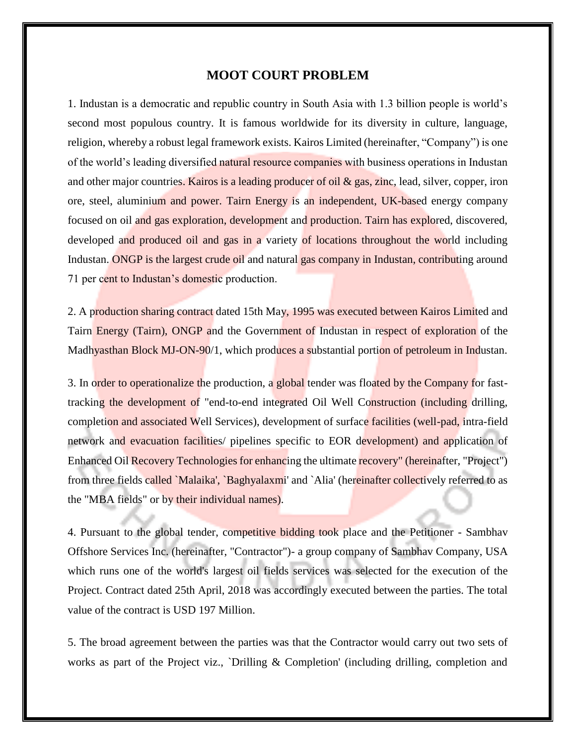#### **MOOT COURT PROBLEM**

1. Industan is a democratic and republic country in South Asia with 1.3 billion people is world's second most populous country. It is famous worldwide for its diversity in culture, language, religion, whereby a robust legal framework exists. Kairos Limited (hereinafter, "Company") is one of the world's leading diversified natural resource companies with business operations in Industan and other major countries. Kairos is a leading producer of oil & gas, zinc, lead, silver, copper, iron ore, steel, aluminium and power. Tairn Energy is an independent, UK-based energy company focused on oil and gas exploration, development and production. Tairn has explored, discovered, developed and produced oil and gas in a variety of locations throughout the world including Industan. ONGP is the largest crude oil and natural gas company in Industan, contributing around 71 per cent to Industan's domestic production.

2. A production sharing contract dated 15th May, 1995 was executed between Kairos Limited and Tairn Energy (Tairn), ONGP and the Government of Industan in respect of exploration of the Madhyasthan Block MJ-ON-90/1, which produces a substantial portion of petroleum in Industan.

3. In order to operationalize the production, a global tender was floated by the Company for fasttracking the development of "end-to-end integrated Oil Well Construction (including drilling, completion and associated Well Services), development of surface facilities (well-pad, intra-field network and evacuation facilities/ pipelines specific to EOR development) and application of Enhanced Oil Recovery Technologies for enhancing the ultimate recovery" (hereinafter, "Project") from three fields called `Malaika', `Baghyalaxmi' and `Alia' (hereinafter collectively referred to as the "MBA fields" or by their individual names).

4. Pursuant to the global tender, competitive bidding took place and the Petitioner - Sambhav Offshore Services Inc. (hereinafter, "Contractor")- a group company of Sambhav Company, USA which runs one of the world's largest oil fields services was selected for the execution of the Project. Contract dated 25th April, 2018 was accordingly executed between the parties. The total value of the contract is USD 197 Million.

5. The broad agreement between the parties was that the Contractor would carry out two sets of works as part of the Project viz., `Drilling & Completion' (including drilling, completion and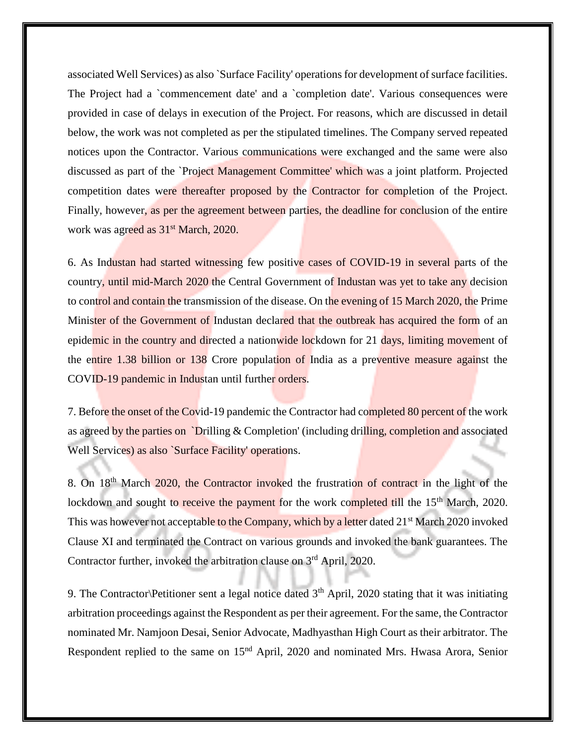associated Well Services) as also `Surface Facility' operations for development of surface facilities. The Project had a `commencement date' and a `completion date'. Various consequences were provided in case of delays in execution of the Project. For reasons, which are discussed in detail below, the work was not completed as per the stipulated timelines. The Company served repeated notices upon the Contractor. Various communications were exchanged and the same were also discussed as part of the `Project Management Committee' which was a joint platform. Projected competition dates were thereafter proposed by the Contractor for completion of the Project. Finally, however, as per the agreement between parties, the deadline for conclusion of the entire work was agreed as  $31<sup>st</sup>$  March, 2020.

6. As Industan had started witnessing few positive cases of COVID-19 in several parts of the country, until mid-March 2020 the Central Government of Industan was yet to take any decision to control and contain the transmission of the disease. On the evening of 15 March 2020, the Prime Minister of the Government of Industan declared that the outbreak has acquired the form of an epidemic in the country and directed a nationwide lockdown for 21 days, limiting movement of the entire 1.38 billion or 138 Crore population of India as a preventive measure against the COVID-19 pandemic in Industan until further orders.

7. Before the onset of the Covid-19 pandemic the Contractor had completed 80 percent of the work as agreed by the parties on `Drilling & Completion' (including drilling, completion and associated Well Services) as also *Surface Facility'* operations.

8. On 18<sup>th</sup> March 2020, the Contractor invoked the frustration of contract in the light of the lockdown and sought to receive the payment for the work completed till the 15<sup>th</sup> March, 2020. This was however not acceptable to the Company, which by a letter dated 21<sup>st</sup> March 2020 invoked Clause XI and terminated the Contract on various grounds and invoked the bank guarantees. The Contractor further, invoked the arbitration clause on 3<sup>rd</sup> April, 2020.

9. The Contractor\Petitioner sent a legal notice dated 3<sup>th</sup> April, 2020 stating that it was initiating arbitration proceedings against the Respondent as per their agreement. For the same, the Contractor nominated Mr. Namjoon Desai, Senior Advocate, Madhyasthan High Court as their arbitrator. The Respondent replied to the same on 15<sup>nd</sup> April, 2020 and nominated Mrs. Hwasa Arora, Senior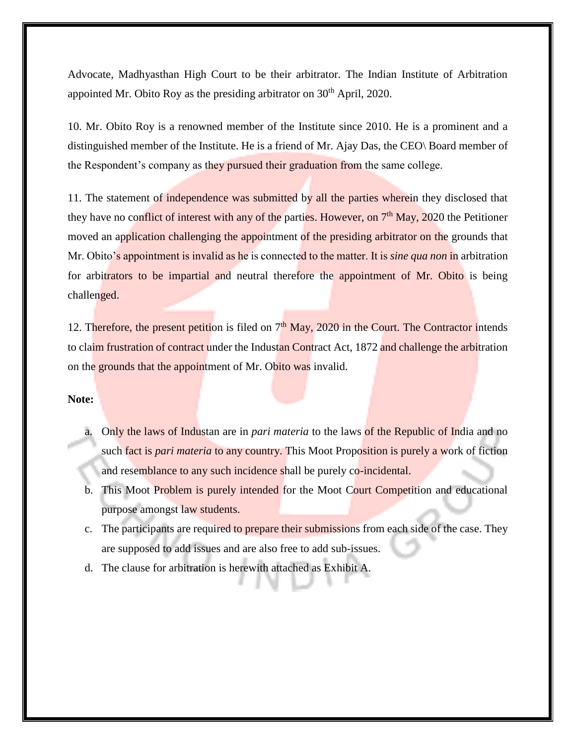Advocate, Madhyasthan High Court to be their arbitrator. The Indian Institute of Arbitration appointed Mr. Obito Roy as the presiding arbitrator on  $30<sup>th</sup>$  April, 2020.

10. Mr. Obito Roy is a renowned member of the Institute since 2010. He is a prominent and a distinguished member of the Institute. He is a friend of Mr. Ajay Das, the CEO\ Board member of the Respondent's company as they pursued their graduation from the same college.

11. The statement of independence was submitted by all the parties wherein they disclosed that they have no conflict of interest with any of the parties. However, on  $7<sup>th</sup>$  May, 2020 the Petitioner moved an application challenging the appointment of the presiding arbitrator on the grounds that Mr. Obito's appointment is invalid as he is connected to the matter. It is *sine qua non* in arbitration for arbitrators to be impartial and neutral therefore the appointment of Mr. Obito is being challenged.

12. Therefore, the present petition is filed on  $7<sup>th</sup>$  May, 2020 in the Court. The Contractor intends to claim frustration of contract under the Industan Contract Act, 1872 and challenge the arbitration on the grounds that the appointment of Mr. Obito was invalid.

#### **Note:**

- a. Only the laws of Industan are in *pari materia* to the laws of the Republic of India and no such fact is *pari materia* to any country. This Moot Proposition is purely a work of fiction and resemblance to any such incidence shall be purely co-incidental.
- b. This Moot Problem is purely intended for the Moot Court Competition and educational purpose amongst law students.
- c. The participants are required to prepare their submissions from each side of the case. They are supposed to add issues and are also free to add sub-issues.
- d. The clause for arbitration is herewith attached as Exhibit A.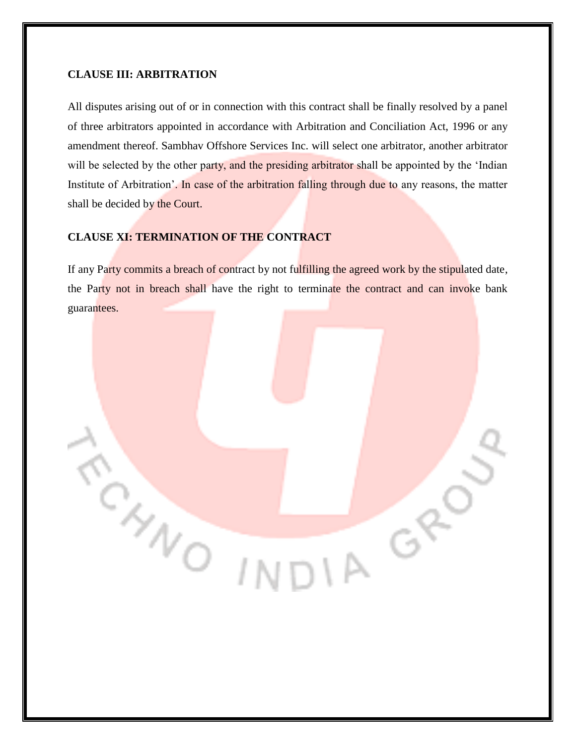#### **CLAUSE III: ARBITRATION**

All disputes arising out of or in connection with this contract shall be finally resolved by a panel of three arbitrators appointed in accordance with Arbitration and Conciliation Act, 1996 or any amendment thereof. Sambhav Offshore Services Inc. will select one arbitrator, another arbitrator will be selected by the other party, and the presiding arbitrator shall be appointed by the 'Indian Institute of Arbitration'. In case of the arbitration falling through due to any reasons, the matter shall be decided by the Court.

#### **CLAUSE XI: TERMINATION OF THE CONTRACT**

CANO

If any Party commits a breach of contract by not fulfilling the agreed work by the stipulated date, the Party not in breach shall have the right to terminate the contract and can invoke bank guarantees.

IA GR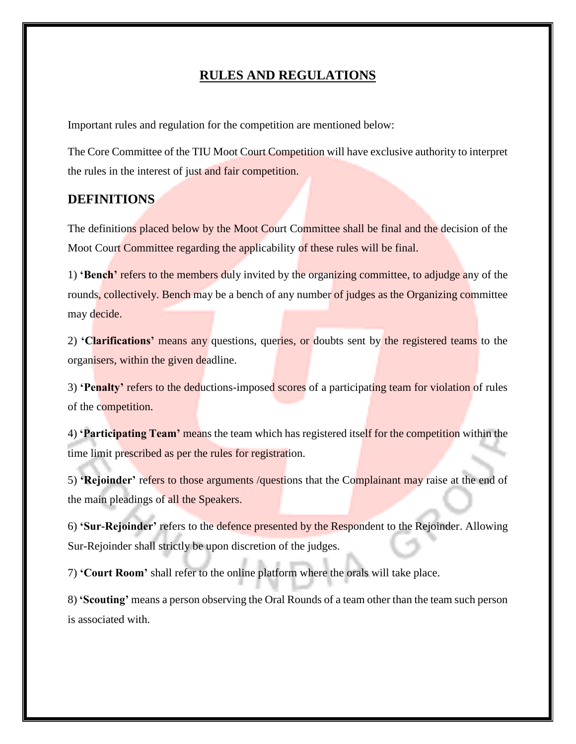#### **RULES AND REGULATIONS**

Important rules and regulation for the competition are mentioned below:

The Core Committee of the TIU Moot Court Competition will have exclusive authority to interpret the rules in the interest of just and fair competition.

#### **DEFINITIONS**

The definitions placed below by the Moot Court Committee shall be final and the decision of the Moot Court Committee regarding the applicability of these rules will be final.

1) **'Bench'** refers to the members duly invited by the organizing committee, to adjudge any of the rounds, collectively. Bench may be a bench of any number of judges as the Organizing committee may decide.

2) **'Clarifications'** means any questions, queries, or doubts sent by the registered teams to the organisers, within the given deadline.

3) **'Penalty'** refers to the deductions-imposed scores of a participating team for violation of rules of the competition.

4) **'Participating Team'** means the team which has registered itself for the competition within the time limit prescribed as per the rules for registration.

5) **'Rejoinder'** refers to those arguments /questions that the Complainant may raise at the end of the main pleadings of all the Speakers.

6) **'Sur-Rejoinder'** refers to the defence presented by the Respondent to the Rejoinder. Allowing Sur-Rejoinder shall strictly be upon discretion of the judges.

7) **'Court Room'** shall refer to the online platform where the orals will take place.

8) **'Scouting'** means a person observing the Oral Rounds of a team other than the team such person is associated with.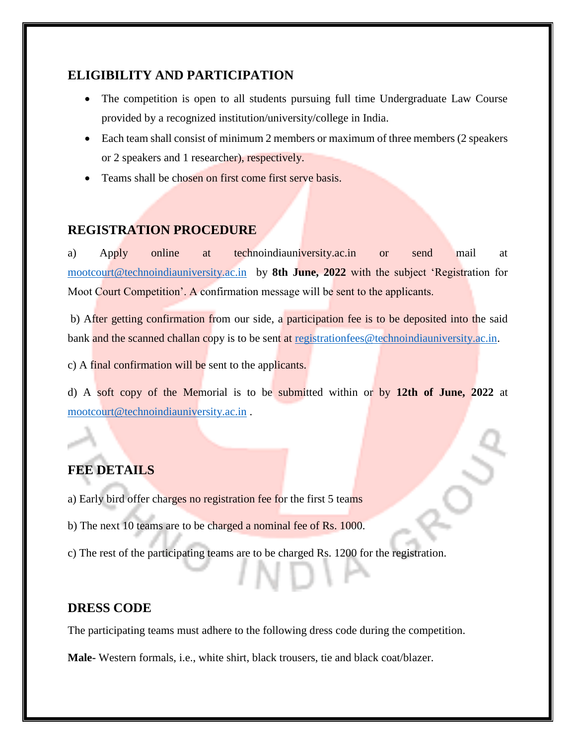## **ELIGIBILITY AND PARTICIPATION**

- The competition is open to all students pursuing full time Undergraduate Law Course provided by a recognized institution/university/college in India.
- Each team shall consist of minimum 2 members or maximum of three members (2 speakers or 2 speakers and 1 researcher), respectively.
- Teams shall be chosen on first come first serve basis.

## **REGISTRATION PROCEDURE**

a) Apply online at technoindiauniversity.ac.in or send mail at [mootcourt@technoindiauniversity.ac.in](mailto:mootcourt@technoindiauniversity.ac.in) by **8th June, 2022** with the subject 'Registration for Moot Court Competition'. A confirmation message will be sent to the applicants.

b) After getting confirmation from our side, a participation fee is to be deposited into the said bank and the scanned challan copy is to be sent at [registrationfees@technoindiauniversity.ac.in.](mailto:registrationfees@technoindiauniversity.ac.in)

c) A final confirmation will be sent to the applicants.

d) A soft copy of the Memorial is to be submitted within or by **12th of June, 2022** at [mootcourt@technoindiauniversity.ac.in](mailto:mootcourt@technoindiauniversity.ac.in) .

# **FEE DETAILS**

a) Early bird offer charges no registration fee for the first 5 teams

- b) The next 10 teams are to be charged a nominal fee of Rs. 1000.
- c) The rest of the participating teams are to be charged Rs. 1200 for the registration.

### **DRESS CODE**

The participating teams must adhere to the following dress code during the competition.

**Male-** Western formals, i.e., white shirt, black trousers, tie and black coat/blazer.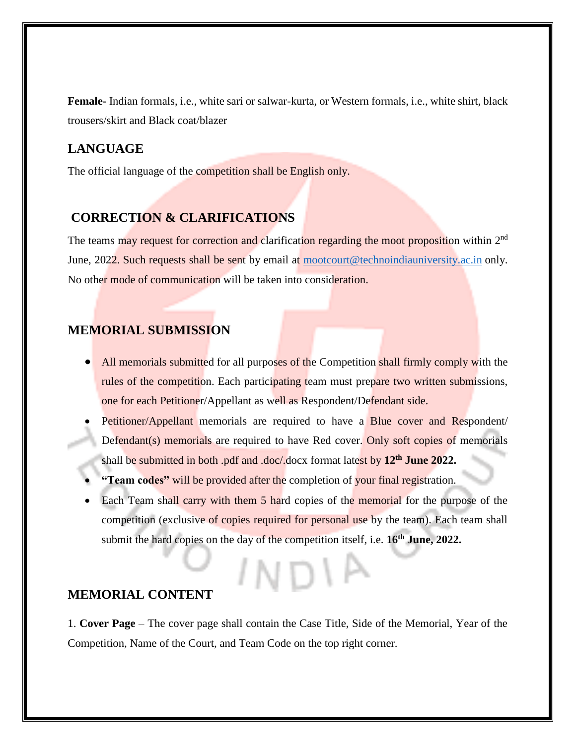**Female-** Indian formals, i.e., white sari or salwar-kurta, or Western formals, i.e., white shirt, black trousers/skirt and Black coat/blazer

### **LANGUAGE**

The official language of the competition shall be English only.

## **CORRECTION & CLARIFICATIONS**

The teams may request for correction and clarification regarding the moot proposition within 2<sup>nd</sup> June, 2022. Such requests shall be sent by email at [mootcourt@technoindiauniversity.ac.in](mailto:mootcourt@technoindiauniversity.ac.in) only. No other mode of communication will be taken into consideration.

## **MEMORIAL SUBMISSION**

- All memorials submitted for all purposes of the Competition shall firmly comply with the rules of the competition. Each participating team must prepare two written submissions, one for each Petitioner/Appellant as well as Respondent/Defendant side.
- Petitioner/Appellant memorials are required to have a Blue cover and Respondent/ Defendant(s) memorials are required to have Red cover. Only soft copies of memorials shall be submitted in both .pdf and .doc/.docx format latest by **12th June 2022.**
- **"Team codes"** will be provided after the completion of your final registration.
- Each Team shall carry with them 5 hard copies of the memorial for the purpose of the competition (exclusive of copies required for personal use by the team). Each team shall submit the hard copies on the day of the competition itself, i.e. **16th June, 2022.**

#### **MEMORIAL CONTENT**

1. **Cover Page** – The cover page shall contain the Case Title, Side of the Memorial, Year of the Competition, Name of the Court, and Team Code on the top right corner.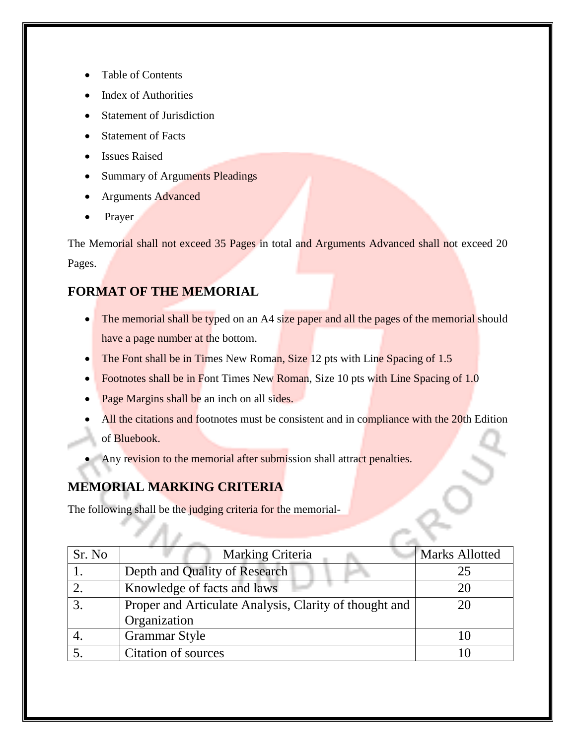- Table of Contents
- Index of Authorities
- Statement of Jurisdiction
- Statement of Facts
- Issues Raised
- Summary of Arguments Pleadings
- Arguments Advanced
- Prayer

The Memorial shall not exceed 35 Pages in total and Arguments Advanced shall not exceed 20 Pages.

# **FORMAT OF THE MEMORIAL**

- The memorial shall be typed on an A4 size paper and all the pages of the memorial should have a page number at the bottom.
- The Font shall be in Times New Roman, Size 12 pts with Line Spacing of 1.5
- Footnotes shall be in Font Times New Roman, Size 10 pts with Line Spacing of 1.0
- Page Margins shall be an inch on all sides.
- All the citations and footnotes must be consistent and in compliance with the 20th Edition of Bluebook.
- Any revision to the memorial after submission shall attract penalties.

# **MEMORIAL MARKING CRITERIA**

The following shall be the judging criteria for the memorial-

| Sr. No | Marking Criteria                                       | Marks Allotted |
|--------|--------------------------------------------------------|----------------|
|        | Depth and Quality of Research                          | 25             |
|        | Knowledge of facts and laws                            | 20             |
| 3      | Proper and Articulate Analysis, Clarity of thought and | 20             |
|        | Organization                                           |                |
|        | <b>Grammar Style</b>                                   | 10             |
|        | Citation of sources                                    |                |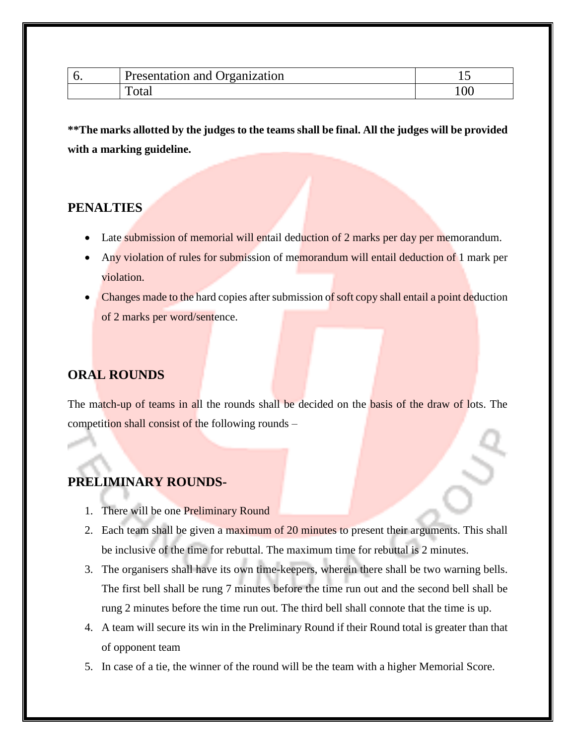| v | ntation and Organization<br>$1$ <i>month</i><br>resentation | ∸   |
|---|-------------------------------------------------------------|-----|
|   | <b>Utal</b>                                                 | 100 |

**\*\*The marks allotted by the judges to the teams shall be final. All the judges will be provided with a marking guideline.**

## **PENALTIES**

- Late submission of memorial will entail deduction of 2 marks per day per memorandum.
- Any violation of rules for submission of memorandum will entail deduction of 1 mark per violation.
- Changes made to the hard copies after submission of soft copy shall entail a point deduction of 2 marks per word/sentence.

# **ORAL ROUNDS**

The match-up of teams in all the rounds shall be decided on the basis of the draw of lots. The competition shall consist of the following rounds –

# **PRELIMINARY ROUNDS-**

- 1. There will be one Preliminary Round
- 2. Each team shall be given a maximum of 20 minutes to present their arguments. This shall be inclusive of the time for rebuttal. The maximum time for rebuttal is 2 minutes.
- 3. The organisers shall have its own time-keepers, wherein there shall be two warning bells. The first bell shall be rung 7 minutes before the time run out and the second bell shall be rung 2 minutes before the time run out. The third bell shall connote that the time is up.
- 4. A team will secure its win in the Preliminary Round if their Round total is greater than that of opponent team
- 5. In case of a tie, the winner of the round will be the team with a higher Memorial Score.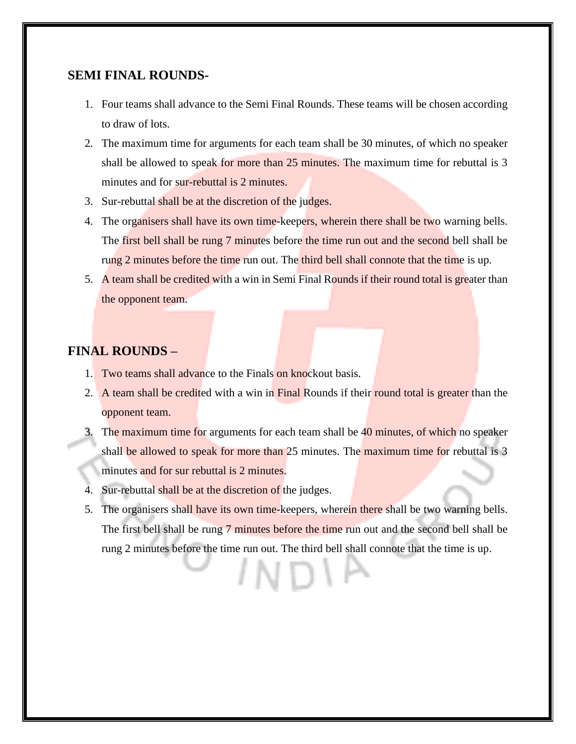#### **SEMI FINAL ROUNDS-**

- 1. Four teams shall advance to the Semi Final Rounds. These teams will be chosen according to draw of lots.
- 2. The maximum time for arguments for each team shall be 30 minutes, of which no speaker shall be allowed to speak for more than 25 minutes. The maximum time for rebuttal is 3 minutes and for sur-rebuttal is 2 minutes.
- 3. Sur-rebuttal shall be at the discretion of the judges.
- 4. The organisers shall have its own time-keepers, wherein there shall be two warning bells. The first bell shall be rung 7 minutes before the time run out and the second bell shall be rung 2 minutes before the time run out. The third bell shall connote that the time is up.
- 5. A team shall be credited with a win in Semi Final Rounds if their round total is greater than the opponent team.

### **FINAL ROUNDS –**

- 1. Two teams shall advance to the Finals on knockout basis.
- 2. A team shall be credited with a win in Final Rounds if their round total is greater than the opponent team.
- 3. The maximum time for arguments for each team shall be 40 minutes, of which no speaker shall be allowed to speak for more than 25 minutes. The maximum time for rebuttal is 3 minutes and for sur rebuttal is 2 minutes.
- 4. Sur-rebuttal shall be at the discretion of the judges.
- 5. The organisers shall have its own time-keepers, wherein there shall be two warning bells. The first bell shall be rung 7 minutes before the time run out and the second bell shall be rung 2 minutes before the time run out. The third bell shall connote that the time is up.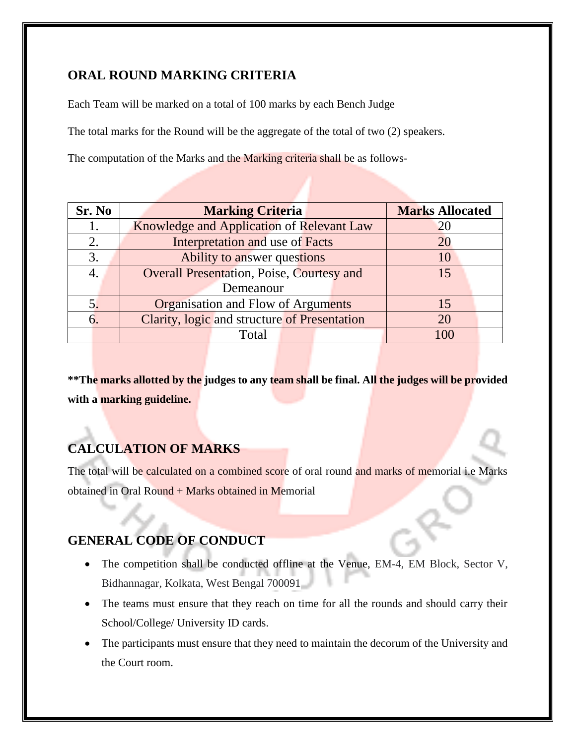## **ORAL ROUND MARKING CRITERIA**

Each Team will be marked on a total of 100 marks by each Bench Judge

The total marks for the Round will be the aggregate of the total of two (2) speakers.

The computation of the Marks and the Marking criteria shall be as follows-

| Sr. No | <b>Marking Criteria</b>                          | <b>Marks Allocated</b> |
|--------|--------------------------------------------------|------------------------|
| 1.     | Knowledge and Application of Relevant Law        | 20                     |
| 2.     | Interpretation and use of Facts                  | 20                     |
| 3.     | Ability to answer questions                      | 10                     |
|        | <b>Overall Presentation, Poise, Courtesy and</b> | 15                     |
|        | Demeanour                                        |                        |
| 5.     | <b>Organisation and Flow of Arguments</b>        | 15                     |
| 6.     | Clarity, logic and structure of Presentation     | 20                     |
|        | Total                                            | 100                    |

**\*\*The marks allotted by the judges to any team shall be final. All the judges will be provided with a marking guideline.**

# **CALCULATION OF MARKS**

The total will be calculated on a combined score of oral round and marks of memorial i.e Marks obtained in Oral Round + Marks obtained in Memorial

# **GENERAL CODE OF CONDUCT**

- The competition shall be conducted offline at the Venue, EM-4, EM Block, Sector V, Bidhannagar, Kolkata, West Bengal 700091
- The teams must ensure that they reach on time for all the rounds and should carry their School/College/ University ID cards.
- The participants must ensure that they need to maintain the decorum of the University and the Court room.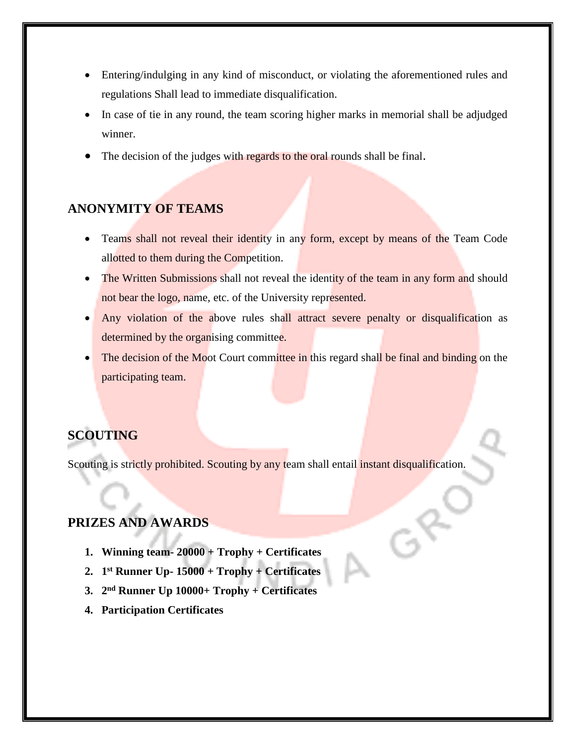- Entering/indulging in any kind of misconduct, or violating the aforementioned rules and regulations Shall lead to immediate disqualification.
- In case of tie in any round, the team scoring higher marks in memorial shall be adjudged winner.
- The decision of the judges with regards to the oral rounds shall be final.

### **ANONYMITY OF TEAMS**

- Teams shall not reveal their identity in any form, except by means of the Team Code allotted to them during the Competition.
- The Written Submissions shall not reveal the identity of the team in any form and should not bear the logo, name, etc. of the University represented.
- Any violation of the above rules shall attract severe penalty or disqualification as determined by the organising committee.
- The decision of the Moot Court committee in this regard shall be final and binding on the participating team.

## **SCOUTING**

Scouting is strictly prohibited. Scouting by any team shall entail instant disqualification.

# **PRIZES AND AWARDS**

- **1. Winning team- 20000 + Trophy + Certificates**
- **2. 1 st Runner Up- 15000 + Trophy + Certificates**
- **3. 2 nd Runner Up 10000+ Trophy + Certificates**
- **4. Participation Certificates**